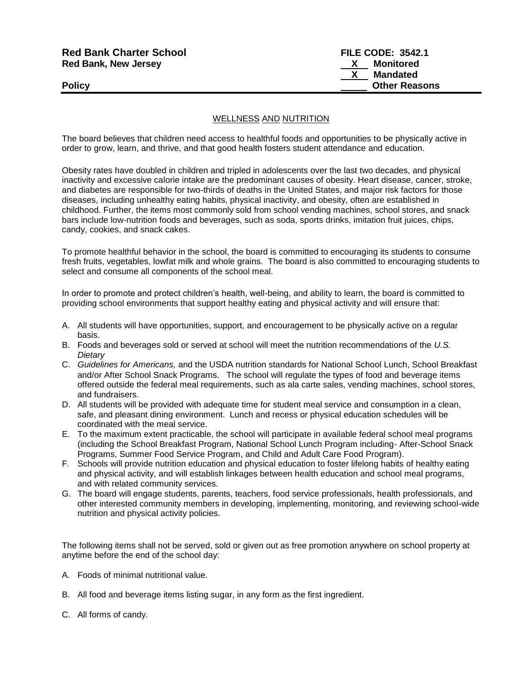| <b>Red Bank Charter School</b> | <b>FILE CODE: 3542.1</b> |  |
|--------------------------------|--------------------------|--|
| <b>Red Bank, New Jersey</b>    | Monitored                |  |
|                                | Mandated                 |  |
| Policy                         | <b>Other Reasons</b>     |  |
|                                |                          |  |

### WELLNESS AND NUTRITION

The board believes that children need access to healthful foods and opportunities to be physically active in order to grow, learn, and thrive, and that good health fosters student attendance and education.

Obesity rates have doubled in children and tripled in adolescents over the last two decades, and physical inactivity and excessive calorie intake are the predominant causes of obesity. Heart disease, cancer, stroke, and diabetes are responsible for two-thirds of deaths in the United States, and major risk factors for those diseases, including unhealthy eating habits, physical inactivity, and obesity, often are established in childhood. Further, the items most commonly sold from school vending machines, school stores, and snack bars include low-nutrition foods and beverages, such as soda, sports drinks, imitation fruit juices, chips, candy, cookies, and snack cakes.

To promote healthful behavior in the school, the board is committed to encouraging its students to consume fresh fruits, vegetables, lowfat milk and whole grains. The board is also committed to encouraging students to select and consume all components of the school meal.

In order to promote and protect children's health, well-being, and ability to learn, the board is committed to providing school environments that support healthy eating and physical activity and will ensure that:

- A. All students will have opportunities, support, and encouragement to be physically active on a regular basis.
- B. Foods and beverages sold or served at school will meet the nutrition recommendations of the *U.S. Dietary*
- C. *Guidelines for Americans,* and the USDA nutrition standards for National School Lunch, School Breakfast and/or After School Snack Programs. The school will regulate the types of food and beverage items offered outside the federal meal requirements, such as ala carte sales, vending machines, school stores, and fundraisers.
- D. All students will be provided with adequate time for student meal service and consumption in a clean, safe, and pleasant dining environment. Lunch and recess or physical education schedules will be coordinated with the meal service.
- E. To the maximum extent practicable, the school will participate in available federal school meal programs (including the School Breakfast Program, National School Lunch Program including- After-School Snack Programs, Summer Food Service Program, and Child and Adult Care Food Program).
- F. Schools will provide nutrition education and physical education to foster lifelong habits of healthy eating and physical activity, and will establish linkages between health education and school meal programs, and with related community services.
- G. The board will engage students, parents, teachers, food service professionals, health professionals, and other interested community members in developing, implementing, monitoring, and reviewing school-wide nutrition and physical activity policies.

The following items shall not be served, sold or given out as free promotion anywhere on school property at anytime before the end of the school day:

- A. Foods of minimal nutritional value.
- B. All food and beverage items listing sugar, in any form as the first ingredient.
- C. All forms of candy.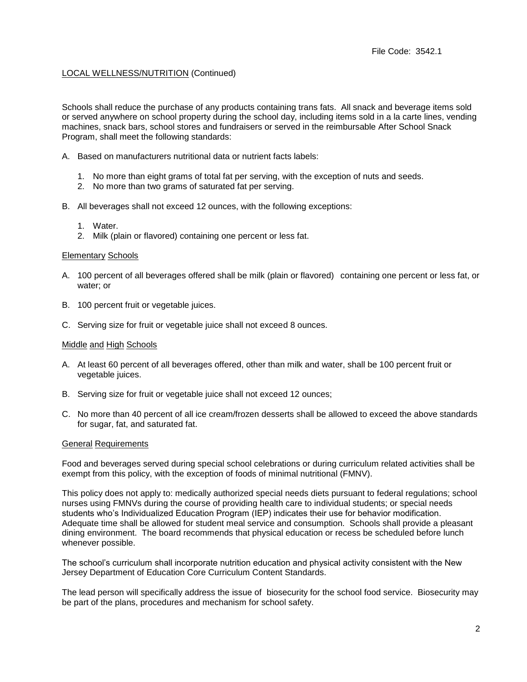## LOCAL WELLNESS/NUTRITION (Continued)

Schools shall reduce the purchase of any products containing trans fats. All snack and beverage items sold or served anywhere on school property during the school day, including items sold in a la carte lines, vending machines, snack bars, school stores and fundraisers or served in the reimbursable After School Snack Program, shall meet the following standards:

- A. Based on manufacturers nutritional data or nutrient facts labels:
	- 1. No more than eight grams of total fat per serving, with the exception of nuts and seeds.
	- 2. No more than two grams of saturated fat per serving.
- B. All beverages shall not exceed 12 ounces, with the following exceptions:
	- 1. Water.
	- 2. Milk (plain or flavored) containing one percent or less fat.

#### **Elementary Schools**

- A. 100 percent of all beverages offered shall be milk (plain or flavored) containing one percent or less fat, or water; or
- B. 100 percent fruit or vegetable juices.
- C. Serving size for fruit or vegetable juice shall not exceed 8 ounces.

#### Middle and High Schools

- A. At least 60 percent of all beverages offered, other than milk and water, shall be 100 percent fruit or vegetable juices.
- B. Serving size for fruit or vegetable juice shall not exceed 12 ounces;
- C. No more than 40 percent of all ice cream/frozen desserts shall be allowed to exceed the above standards for sugar, fat, and saturated fat.

#### General Requirements

Food and beverages served during special school celebrations or during curriculum related activities shall be exempt from this policy, with the exception of foods of minimal nutritional (FMNV).

This policy does not apply to: medically authorized special needs diets pursuant to federal regulations; school nurses using FMNVs during the course of providing health care to individual students; or special needs students who's Individualized Education Program (IEP) indicates their use for behavior modification. Adequate time shall be allowed for student meal service and consumption. Schools shall provide a pleasant dining environment. The board recommends that physical education or recess be scheduled before lunch whenever possible.

The school's curriculum shall incorporate nutrition education and physical activity consistent with the New Jersey Department of Education Core Curriculum Content Standards.

The lead person will specifically address the issue of biosecurity for the school food service. Biosecurity may be part of the plans, procedures and mechanism for school safety.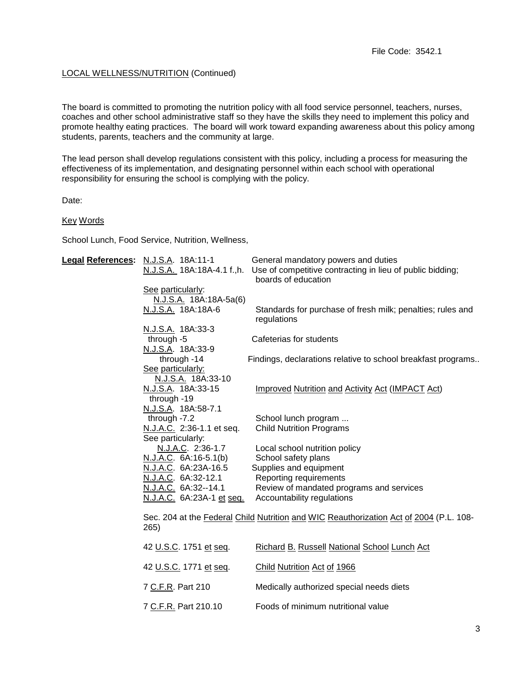## LOCAL WELLNESS/NUTRITION (Continued)

The board is committed to promoting the nutrition policy with all food service personnel, teachers, nurses, coaches and other school administrative staff so they have the skills they need to implement this policy and promote healthy eating practices. The board will work toward expanding awareness about this policy among students, parents, teachers and the community at large.

The lead person shall develop regulations consistent with this policy, including a process for measuring the effectiveness of its implementation, and designating personnel within each school with operational responsibility for ensuring the school is complying with the policy.

Date:

#### Key Words

School Lunch, Food Service, Nutrition, Wellness,

| Legal References: N.J.S.A. 18A:11-1                                                                                                                                 | General mandatory powers and duties<br>N.J.S.A. 18A:18A-4.1 f.,h. Use of competitive contracting in lieu of public bidding;<br>boards of education                                 |
|---------------------------------------------------------------------------------------------------------------------------------------------------------------------|------------------------------------------------------------------------------------------------------------------------------------------------------------------------------------|
| See particularly:<br>N.J.S.A. 18A:18A-5a(6)<br>N.J.S.A. 18A:18A-6                                                                                                   | Standards for purchase of fresh milk; penalties; rules and<br>regulations                                                                                                          |
| N.J.S.A. 18A:33-3<br>through -5<br>N.J.S.A. 18A:33-9                                                                                                                | Cafeterias for students                                                                                                                                                            |
| through -14<br>See particularly:<br>N.J.S.A. 18A:33-10                                                                                                              | Findings, declarations relative to school breakfast programs                                                                                                                       |
| N.J.S.A. 18A:33-15<br>through -19                                                                                                                                   | Improved Nutrition and Activity Act (IMPACT Act)                                                                                                                                   |
| N.J.S.A. 18A:58-7.1<br>through -7.2<br>N.J.A.C. 2:36-1.1 et seq.                                                                                                    | School lunch program<br><b>Child Nutrition Programs</b>                                                                                                                            |
| See particularly:<br>N.J.A.C. 2:36-1.7<br>N.J.A.C. 6A:16-5.1(b)<br>N.J.A.C. 6A:23A-16.5<br>N.J.A.C. 6A:32-12.1<br>N.J.A.C. 6A:32--14.1<br>N.J.A.C. 6A:23A-1 et seq. | Local school nutrition policy<br>School safety plans<br>Supplies and equipment<br>Reporting requirements<br>Review of mandated programs and services<br>Accountability regulations |
| 265)                                                                                                                                                                | Sec. 204 at the Federal Child Nutrition and WIC Reauthorization Act of 2004 (P.L. 108-                                                                                             |
| 42 U.S.C. 1751 et seq.                                                                                                                                              | Richard B. Russell National School Lunch Act                                                                                                                                       |
| 42 U.S.C. 1771 et seq.                                                                                                                                              | Child Nutrition Act of 1966                                                                                                                                                        |
| 7 C.F.R. Part 210                                                                                                                                                   | Medically authorized special needs diets                                                                                                                                           |
| 7 C.F.R. Part 210.10                                                                                                                                                | Foods of minimum nutritional value                                                                                                                                                 |